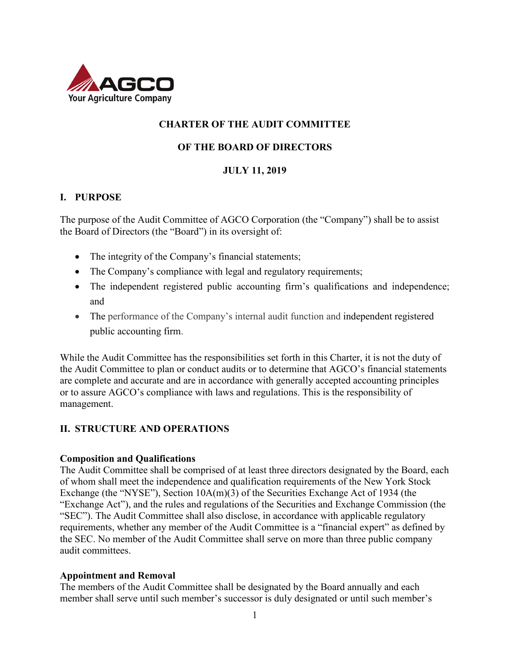

# **CHARTER OF THE AUDIT COMMITTEE**

#### **OF THE BOARD OF DIRECTORS**

#### **JULY 11, 2019**

#### **I. PURPOSE**

The purpose of the Audit Committee of AGCO Corporation (the "Company") shall be to assist the Board of Directors (the "Board") in its oversight of:

- The integrity of the Company's financial statements;
- The Company's compliance with legal and regulatory requirements;
- The independent registered public accounting firm's qualifications and independence; and
- The performance of the Company's internal audit function and independent registered public accounting firm.

While the Audit Committee has the responsibilities set forth in this Charter, it is not the duty of the Audit Committee to plan or conduct audits or to determine that AGCO's financial statements are complete and accurate and are in accordance with generally accepted accounting principles or to assure AGCO's compliance with laws and regulations. This is the responsibility of management.

## **II. STRUCTURE AND OPERATIONS**

#### **Composition and Qualifications**

The Audit Committee shall be comprised of at least three directors designated by the Board, each of whom shall meet the independence and qualification requirements of the New York Stock Exchange (the "NYSE"), Section 10A(m)(3) of the Securities Exchange Act of 1934 (the "Exchange Act"), and the rules and regulations of the Securities and Exchange Commission (the "SEC"). The Audit Committee shall also disclose, in accordance with applicable regulatory requirements, whether any member of the Audit Committee is a "financial expert" as defined by the SEC. No member of the Audit Committee shall serve on more than three public company audit committees.

#### **Appointment and Removal**

The members of the Audit Committee shall be designated by the Board annually and each member shall serve until such member's successor is duly designated or until such member's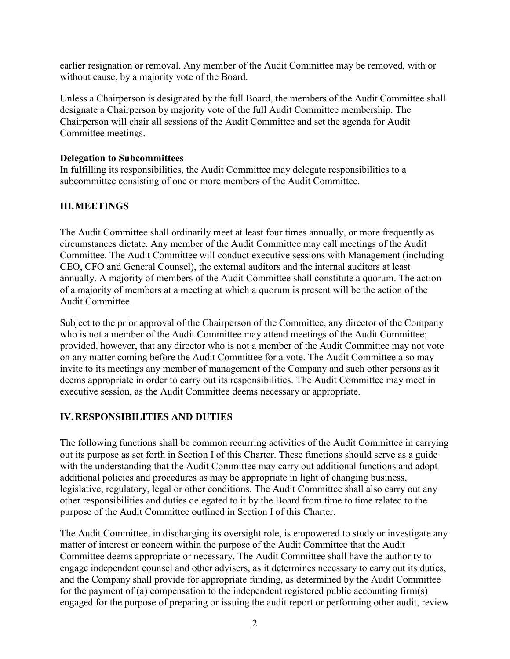earlier resignation or removal. Any member of the Audit Committee may be removed, with or without cause, by a majority vote of the Board.

Unless a Chairperson is designated by the full Board, the members of the Audit Committee shall designate a Chairperson by majority vote of the full Audit Committee membership. The Chairperson will chair all sessions of the Audit Committee and set the agenda for Audit Committee meetings.

#### **Delegation to Subcommittees**

In fulfilling its responsibilities, the Audit Committee may delegate responsibilities to a subcommittee consisting of one or more members of the Audit Committee.

# **III.MEETINGS**

The Audit Committee shall ordinarily meet at least four times annually, or more frequently as circumstances dictate. Any member of the Audit Committee may call meetings of the Audit Committee. The Audit Committee will conduct executive sessions with Management (including CEO, CFO and General Counsel), the external auditors and the internal auditors at least annually. A majority of members of the Audit Committee shall constitute a quorum. The action of a majority of members at a meeting at which a quorum is present will be the action of the Audit Committee.

Subject to the prior approval of the Chairperson of the Committee, any director of the Company who is not a member of the Audit Committee may attend meetings of the Audit Committee; provided, however, that any director who is not a member of the Audit Committee may not vote on any matter coming before the Audit Committee for a vote. The Audit Committee also may invite to its meetings any member of management of the Company and such other persons as it deems appropriate in order to carry out its responsibilities. The Audit Committee may meet in executive session, as the Audit Committee deems necessary or appropriate.

## **IV.RESPONSIBILITIES AND DUTIES**

The following functions shall be common recurring activities of the Audit Committee in carrying out its purpose as set forth in Section I of this Charter. These functions should serve as a guide with the understanding that the Audit Committee may carry out additional functions and adopt additional policies and procedures as may be appropriate in light of changing business, legislative, regulatory, legal or other conditions. The Audit Committee shall also carry out any other responsibilities and duties delegated to it by the Board from time to time related to the purpose of the Audit Committee outlined in Section I of this Charter.

The Audit Committee, in discharging its oversight role, is empowered to study or investigate any matter of interest or concern within the purpose of the Audit Committee that the Audit Committee deems appropriate or necessary. The Audit Committee shall have the authority to engage independent counsel and other advisers, as it determines necessary to carry out its duties, and the Company shall provide for appropriate funding, as determined by the Audit Committee for the payment of (a) compensation to the independent registered public accounting firm(s) engaged for the purpose of preparing or issuing the audit report or performing other audit, review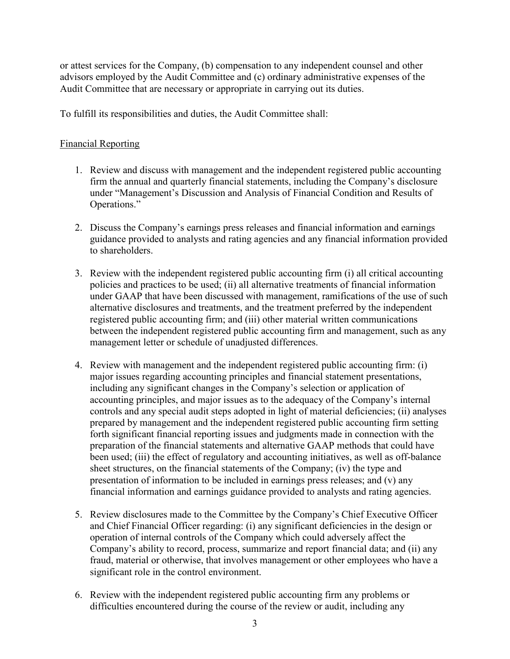or attest services for the Company, (b) compensation to any independent counsel and other advisors employed by the Audit Committee and (c) ordinary administrative expenses of the Audit Committee that are necessary or appropriate in carrying out its duties.

To fulfill its responsibilities and duties, the Audit Committee shall:

# Financial Reporting

- 1. Review and discuss with management and the independent registered public accounting firm the annual and quarterly financial statements, including the Company's disclosure under "Management's Discussion and Analysis of Financial Condition and Results of Operations."
- 2. Discuss the Company's earnings press releases and financial information and earnings guidance provided to analysts and rating agencies and any financial information provided to shareholders.
- 3. Review with the independent registered public accounting firm (i) all critical accounting policies and practices to be used; (ii) all alternative treatments of financial information under GAAP that have been discussed with management, ramifications of the use of such alternative disclosures and treatments, and the treatment preferred by the independent registered public accounting firm; and (iii) other material written communications between the independent registered public accounting firm and management, such as any management letter or schedule of unadjusted differences.
- 4. Review with management and the independent registered public accounting firm: (i) major issues regarding accounting principles and financial statement presentations, including any significant changes in the Company's selection or application of accounting principles, and major issues as to the adequacy of the Company's internal controls and any special audit steps adopted in light of material deficiencies; (ii) analyses prepared by management and the independent registered public accounting firm setting forth significant financial reporting issues and judgments made in connection with the preparation of the financial statements and alternative GAAP methods that could have been used; (iii) the effect of regulatory and accounting initiatives, as well as off-balance sheet structures, on the financial statements of the Company; (iv) the type and presentation of information to be included in earnings press releases; and (v) any financial information and earnings guidance provided to analysts and rating agencies.
- 5. Review disclosures made to the Committee by the Company's Chief Executive Officer and Chief Financial Officer regarding: (i) any significant deficiencies in the design or operation of internal controls of the Company which could adversely affect the Company's ability to record, process, summarize and report financial data; and (ii) any fraud, material or otherwise, that involves management or other employees who have a significant role in the control environment.
- 6. Review with the independent registered public accounting firm any problems or difficulties encountered during the course of the review or audit, including any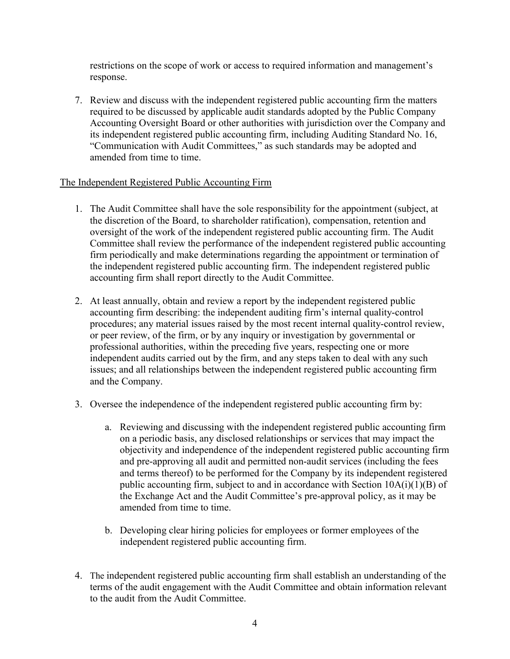restrictions on the scope of work or access to required information and management's response.

7. Review and discuss with the independent registered public accounting firm the matters required to be discussed by applicable audit standards adopted by the Public Company Accounting Oversight Board or other authorities with jurisdiction over the Company and its independent registered public accounting firm, including Auditing Standard No. 16, "Communication with Audit Committees," as such standards may be adopted and amended from time to time.

## The Independent Registered Public Accounting Firm

- 1. The Audit Committee shall have the sole responsibility for the appointment (subject, at the discretion of the Board, to shareholder ratification), compensation, retention and oversight of the work of the independent registered public accounting firm. The Audit Committee shall review the performance of the independent registered public accounting firm periodically and make determinations regarding the appointment or termination of the independent registered public accounting firm. The independent registered public accounting firm shall report directly to the Audit Committee.
- 2. At least annually, obtain and review a report by the independent registered public accounting firm describing: the independent auditing firm's internal quality-control procedures; any material issues raised by the most recent internal quality-control review, or peer review, of the firm, or by any inquiry or investigation by governmental or professional authorities, within the preceding five years, respecting one or more independent audits carried out by the firm, and any steps taken to deal with any such issues; and all relationships between the independent registered public accounting firm and the Company.
- 3. Oversee the independence of the independent registered public accounting firm by:
	- a. Reviewing and discussing with the independent registered public accounting firm on a periodic basis, any disclosed relationships or services that may impact the objectivity and independence of the independent registered public accounting firm and pre-approving all audit and permitted non-audit services (including the fees and terms thereof) to be performed for the Company by its independent registered public accounting firm, subject to and in accordance with Section  $10A(i)(1)(B)$  of the Exchange Act and the Audit Committee's pre-approval policy, as it may be amended from time to time.
	- b. Developing clear hiring policies for employees or former employees of the independent registered public accounting firm.
- 4. The independent registered public accounting firm shall establish an understanding of the terms of the audit engagement with the Audit Committee and obtain information relevant to the audit from the Audit Committee.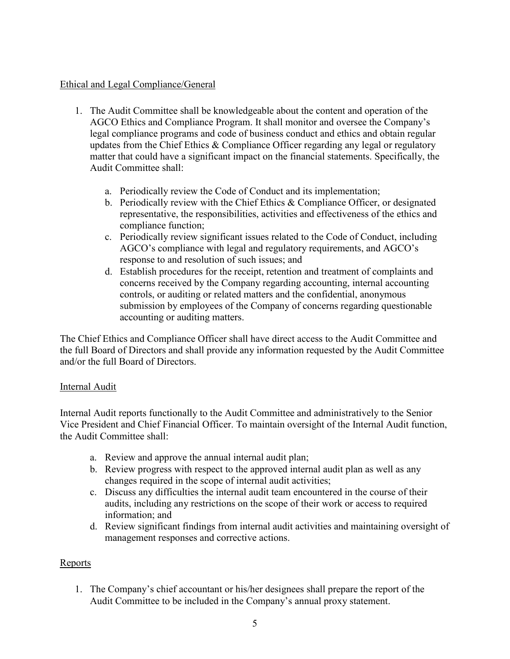#### Ethical and Legal Compliance/General

- 1. The Audit Committee shall be knowledgeable about the content and operation of the AGCO Ethics and Compliance Program. It shall monitor and oversee the Company's legal compliance programs and code of business conduct and ethics and obtain regular updates from the Chief Ethics  $&$  Compliance Officer regarding any legal or regulatory matter that could have a significant impact on the financial statements. Specifically, the Audit Committee shall:
	- a. Periodically review the Code of Conduct and its implementation;
	- b. Periodically review with the Chief Ethics  $&$  Compliance Officer, or designated representative, the responsibilities, activities and effectiveness of the ethics and compliance function;
	- c. Periodically review significant issues related to the Code of Conduct, including AGCO's compliance with legal and regulatory requirements, and AGCO's response to and resolution of such issues; and
	- d. Establish procedures for the receipt, retention and treatment of complaints and concerns received by the Company regarding accounting, internal accounting controls, or auditing or related matters and the confidential, anonymous submission by employees of the Company of concerns regarding questionable accounting or auditing matters.

The Chief Ethics and Compliance Officer shall have direct access to the Audit Committee and the full Board of Directors and shall provide any information requested by the Audit Committee and/or the full Board of Directors.

## Internal Audit

Internal Audit reports functionally to the Audit Committee and administratively to the Senior Vice President and Chief Financial Officer. To maintain oversight of the Internal Audit function, the Audit Committee shall:

- a. Review and approve the annual internal audit plan;
- b. Review progress with respect to the approved internal audit plan as well as any changes required in the scope of internal audit activities;
- c. Discuss any difficulties the internal audit team encountered in the course of their audits, including any restrictions on the scope of their work or access to required information; and
- d. Review significant findings from internal audit activities and maintaining oversight of management responses and corrective actions.

## Reports

1. The Company's chief accountant or his/her designees shall prepare the report of the Audit Committee to be included in the Company's annual proxy statement.